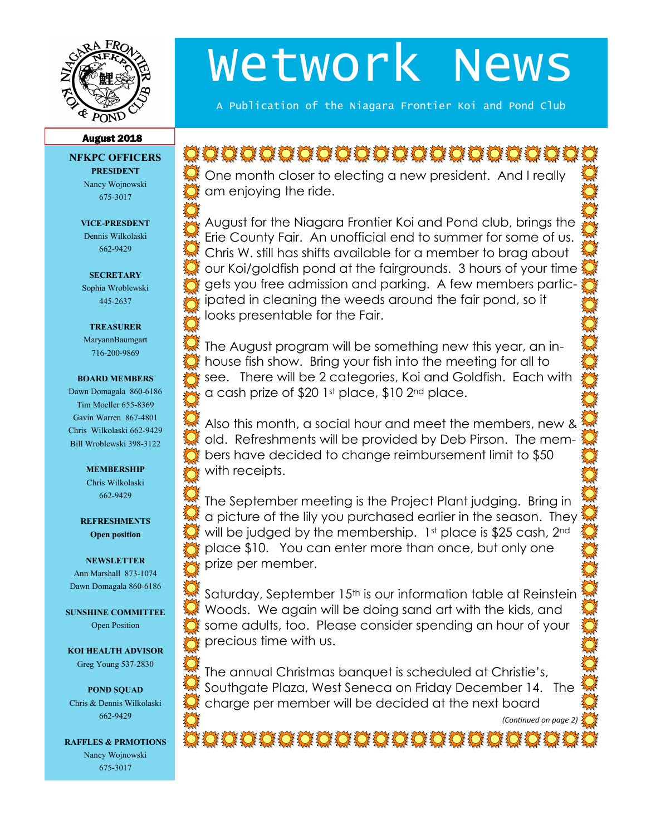

# Wetwork News

A Publication of the Niagara Frontier Koi and Pond Club

#### August 2018

**NFKPC OFFICERS PRESIDENT** Nancy Wojnowski

> 675-3017 **VICE-PRESDENT**

Dennis Wilkolaski 662-9429

**SECRETARY** Sophia Wroblewski 445-2637

#### **TREASURER**

MaryannBaumgart 716-200-9869

#### **BOARD MEMBERS**

Dawn Domagala 860-6186 Tim Moeller 655-8369 Gavin Warren 867-4801 Chris Wilkolaski 662-9429 Bill Wroblewski 398-3122

#### **MEMBERSHIP** Chris Wilkolaski

662-9429

#### **REFRESHMENTS Open position**

**NEWSLETTER** Ann Marshall 873-1074 Dawn Domagala 860-6186

**SUNSHINE COMMITTEE** Open Position

**KOI HEALTH ADVISOR** Greg Young 537-2830

**POND SQUAD** Chris & Dennis Wilkolaski 662-9429

**RAFFLES & PRMOTIONS** Nancy Wojnowski 675-3017

## X O O O O O O O O O O O O O O O O O O

One month closer to electing a new president. And I really am enjoying the ride.

August for the Niagara Frontier Koi and Pond club, brings the Erie County Fair. An unofficial end to summer for some of us. Chris W. still has shifts available for a member to brag about our Koi/goldfish pond at the fairgrounds. 3 hours of your time gets you free admission and parking. A few members participated in cleaning the weeds around the fair pond, so it looks presentable for the Fair.

The August program will be something new this year, an inhouse fish show. Bring your fish into the meeting for all to see. There will be 2 categories, Koi and Goldfish. Each with a cash prize of \$20 1st place, \$10 2nd place.

Also this month, a social hour and meet the members, new & old. Refreshments will be provided by Deb Pirson. The members have decided to change reimbursement limit to \$50 with receipts.

The September meeting is the Project Plant judging. Bring in a picture of the lily you purchased earlier in the season. They will be judged by the membership. 1st place is \$25 cash, 2nd place \$10. You can enter more than once, but only one prize per member.

Saturday, September 15<sup>th</sup> is our information table at Reinstein Woods. We again will be doing sand art with the kids, and some adults, too. Please consider spending an hour of your precious time with us.

The annual Christmas banquet is scheduled at Christie's, Southgate Plaza, West Seneca on Friday December 14. The charge per member will be decided at the next board

\*\*\*\*\*\*\*\*\*\*\*\*\*\*\*\*

*(Continued on page 2)*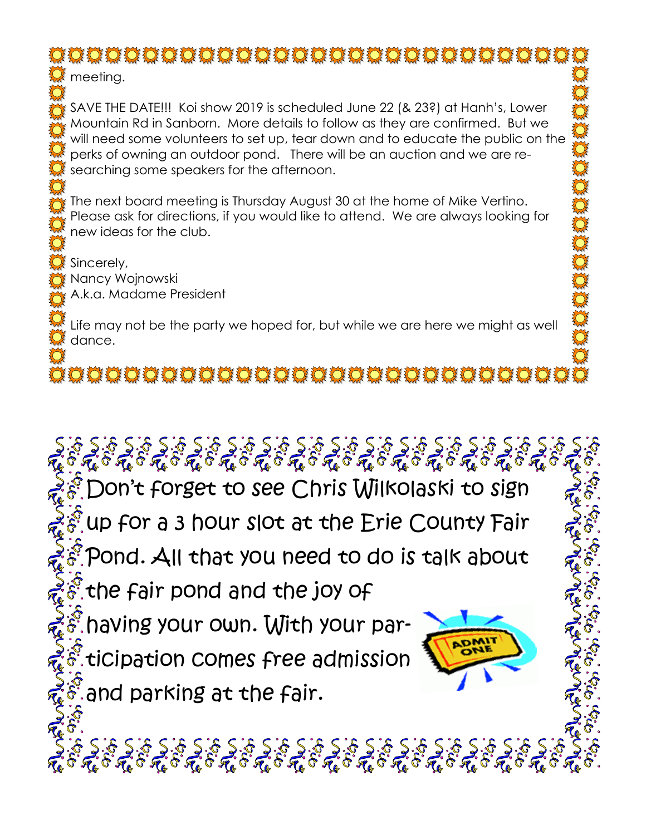meeting.

SAVE THE DATE!!! Koi show 2019 is scheduled June 22 (& 23?) at Hanh's, Lower Mountain Rd in Sanborn. More details to follow as they are confirmed. But we will need some volunteers to set up, tear down and to educate the public on the perks of owning an outdoor pond. There will be an auction and we are researching some speakers for the afternoon.

The next board meeting is Thursday August 30 at the home of Mike Vertino. Please ask for directions, if you would like to attend. We are always looking for new ideas for the club.

Sincerely, Nancy Wojnowski A.k.a. Madame President

Life may not be the party we hoped for, but while we are here we might as well dance.

\*\*\*\*\*\*\*\*\*\*\*\*\*\*\*\*\*\*\*\*\*\*\*\*\*\*\*\*\*

ैं Don't forget to see Chris Wilkolaski to sign  $\widehat{\mathbb{S}}$  up for a 3 hour slot at the Erie County Fair  $\mathbb{S}$  Pond. All that you need to do is talk about  $\mathbb{S}$  the fair pond and the joy of  $\hat{s}$  having your own. With your par- $\mathbb{R}$ ticipation comes free admission  $\tilde{\mathbf{r}}$  and parking at the fair.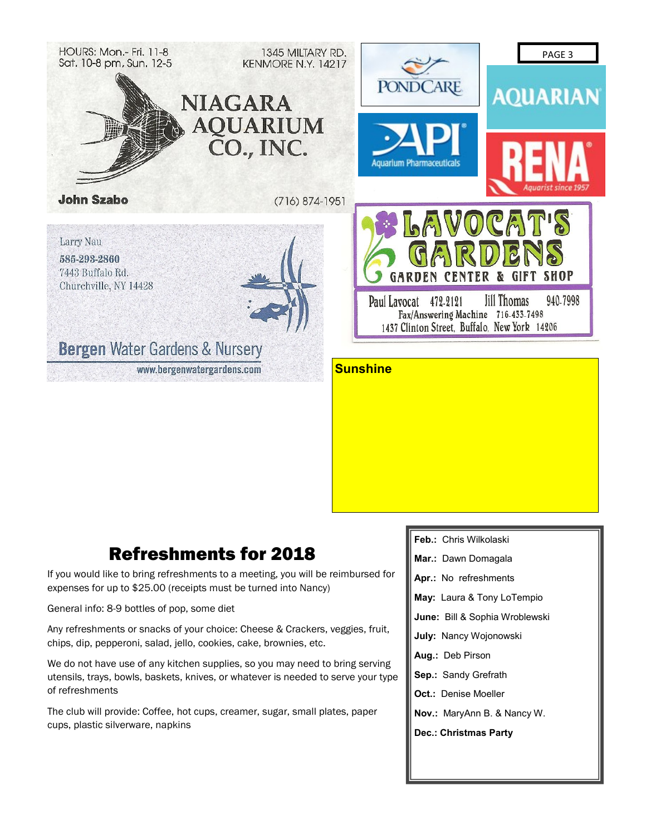

## Refreshments for 2018

If you would like to bring refreshments to a meeting, you will be reimbursed for expenses for up to \$25.00 (receipts must be turned into Nancy)

General info: 8-9 bottles of pop, some diet

Any refreshments or snacks of your choice: Cheese & Crackers, veggies, fruit, chips, dip, pepperoni, salad, jello, cookies, cake, brownies, etc.

We do not have use of any kitchen supplies, so you may need to bring serving utensils, trays, bowls, baskets, knives, or whatever is needed to serve your type of refreshments

The club will provide: Coffee, hot cups, creamer, sugar, small plates, paper cups, plastic silverware, napkins

**Feb.:** Chris Wilkolaski **Mar.:** Dawn Domagala **Apr.:** No refreshments **May:** Laura & Tony LoTempio **June:** Bill & Sophia Wroblewski **July:** Nancy Wojonowski **Aug.:** Deb Pirson **Sep.:** Sandy Grefrath **Oct.:** Denise Moeller **Nov.:** MaryAnn B. & Nancy W. **Dec.: Christmas Party**